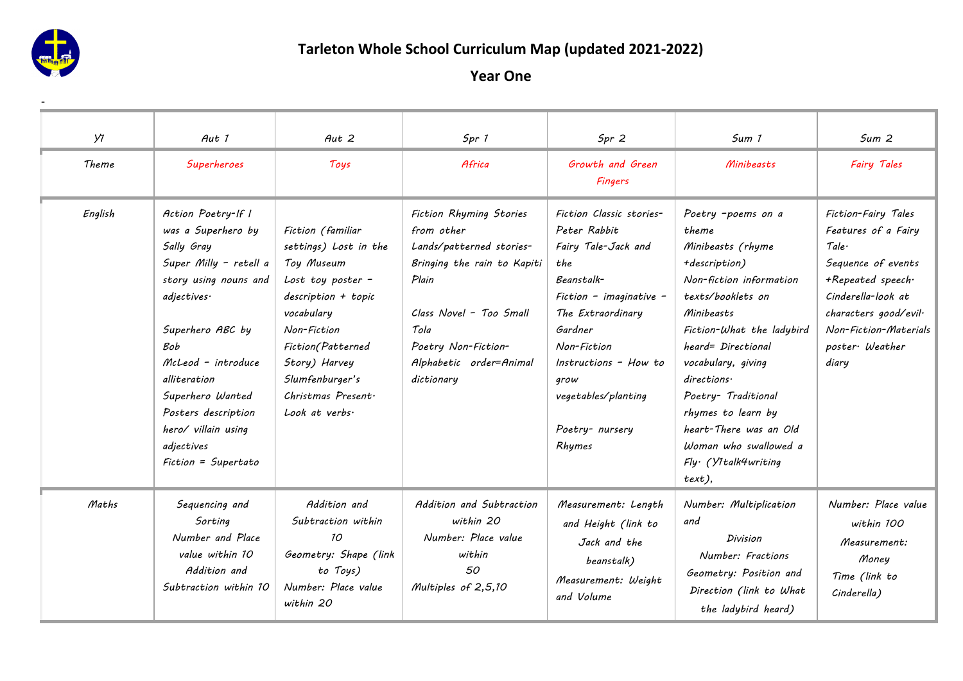

# **Tarleton Whole School Curriculum Map (updated 2021-2022)**

| У1      | Aut 1                                                                                                                                                                                                                                                                                            | Aut <sub>2</sub>                                                                                                                                                                                                                            | Spr 1                                                                                                                                                                                                        | Spr <sub>2</sub>                                                                                                                                                                                                                                    | Sum 1                                                                                                                                                                                                                                                                                                                                                            | Sum <sub>2</sub>                                                                                                                                                                                  |
|---------|--------------------------------------------------------------------------------------------------------------------------------------------------------------------------------------------------------------------------------------------------------------------------------------------------|---------------------------------------------------------------------------------------------------------------------------------------------------------------------------------------------------------------------------------------------|--------------------------------------------------------------------------------------------------------------------------------------------------------------------------------------------------------------|-----------------------------------------------------------------------------------------------------------------------------------------------------------------------------------------------------------------------------------------------------|------------------------------------------------------------------------------------------------------------------------------------------------------------------------------------------------------------------------------------------------------------------------------------------------------------------------------------------------------------------|---------------------------------------------------------------------------------------------------------------------------------------------------------------------------------------------------|
| Theme   | Superheroes                                                                                                                                                                                                                                                                                      | Toys                                                                                                                                                                                                                                        | Africa                                                                                                                                                                                                       | Growth and Green<br><b>Fingers</b>                                                                                                                                                                                                                  | Minibeasts                                                                                                                                                                                                                                                                                                                                                       | <b>Fairy Tales</b>                                                                                                                                                                                |
| English | Action Poetry-If I<br>was a Superhero by<br>Sally Gray<br>Super Milly - retell a<br>story using nouns and<br>adjectives·<br>Superhero ABC by<br>Bob<br>McLeod - introduce<br>alliteration<br>Superhero Wanted<br>Posters description<br>hero/ villain using<br>adjectives<br>Fiction = Supertato | Fiction (familiar<br>settings) Lost in the<br>Toy Museum<br>Lost toy poster $-$<br>description + topic<br>vocabulary<br>Non-Fiction<br>Fiction(Patterned<br>Story) Harvey<br>Slumfenburger's<br>Christmas Present.<br>Look at verbs $\cdot$ | Fiction Rhyming Stories<br>from other<br>Lands/patterned stories-<br>Bringing the rain to Kapiti<br>Plain<br>Class Novel - Too Small<br>Tola<br>Poetry Non-Fiction-<br>Alphabetic order=Animal<br>dictionary | Fiction Classic stories-<br>Peter Rabbit<br>Fairy Tale-Jack and<br>the<br>Beanstalk-<br>Fiction - imaginative -<br>The Extraordinary<br>Gardner<br>Non-Fiction<br>Instructions - How to<br>grow<br>vegetables/planting<br>Poetry- nursery<br>Rhymes | Poetry -poems on a<br>theme<br>Minibeasts (rhyme<br>+description)<br>Non-fiction information<br>texts/booklets on<br>Minibeasts<br>Fiction-What the ladybird<br>heard= Directional<br>vocabulary, giving<br>directions<br>Poetry- Traditional<br>rhymes to learn by<br>heart-There was an Old<br>Woman who swallowed a<br>$Fly \cdot (Y1$ talk4writing<br>text), | Fiction-Fairy Tales<br>Features of a Fairy<br>Tale.<br>Sequence of events<br>+Repeated speech.<br>Cinderella-look at<br>characters good/evil·<br>Non-Fiction-Materials<br>poster Weather<br>diary |
| Maths   | Sequencing and<br>Sorting<br>Number and Place<br>value within 10<br>Addition and<br>Subtraction within 10                                                                                                                                                                                        | Addition and<br>Subtraction within<br>10 <sup>2</sup><br>Geometry: Shape (link<br>to Toys)<br>Number: Place value<br>within 20                                                                                                              | Addition and Subtraction<br>within 20<br>Number: Place value<br>within<br>50<br>Multiples of 2,5,10                                                                                                          | Measurement: Length<br>and Height (link to<br>Jack and the<br>beanstalk)<br>Measurement: Weight<br>and Volume                                                                                                                                       | Number: Multiplication<br>and<br>Division<br>Number: Fractions<br>Geometry: Position and<br>Direction (link to What<br>the ladybird heard)                                                                                                                                                                                                                       | Number: Place value<br>within 100<br>Measurement:<br>Money<br>Time (link to<br>Cinderella)                                                                                                        |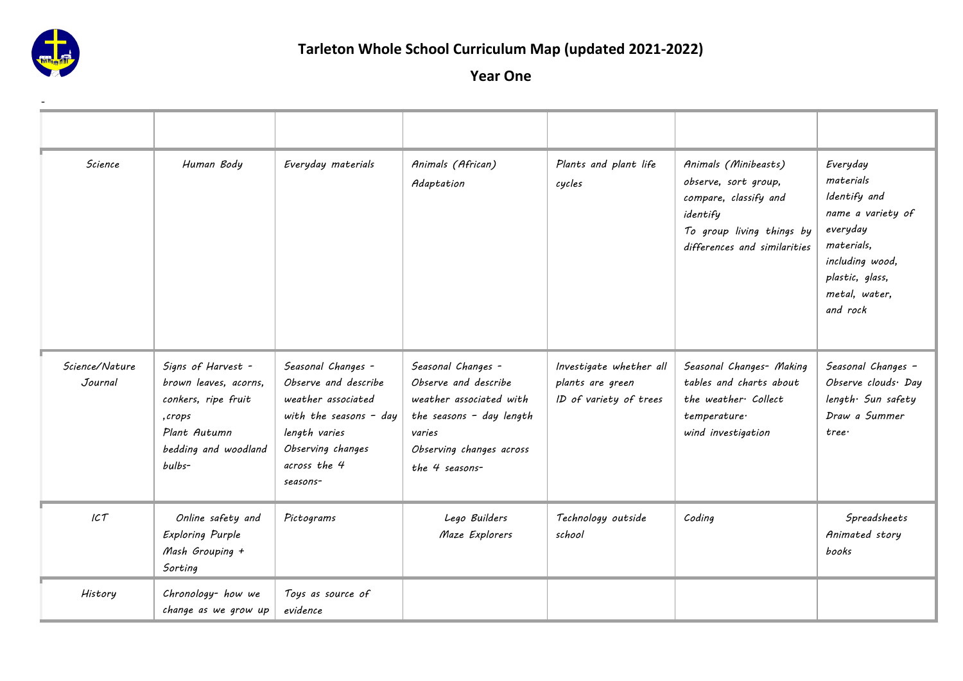

# **Tarleton Whole School Curriculum Map (updated 2021-2022)**

| Science                   | Human Body                                                                                                                     | Everyday materials                                                                                                                                             | Animals (African)<br>Adaptation                                                                                                                           | Plants and plant life<br>cycles                                       | Animals (Minibeasts)<br>observe, sort group,<br>compare, classify and<br>identify<br>To group living things by<br>differences and similarities | Everyday<br>materials<br>Identify and<br>name a variety of<br>everyday<br>materials,<br>including wood,<br>plastic, glass,<br>metal, water,<br>and rock |
|---------------------------|--------------------------------------------------------------------------------------------------------------------------------|----------------------------------------------------------------------------------------------------------------------------------------------------------------|-----------------------------------------------------------------------------------------------------------------------------------------------------------|-----------------------------------------------------------------------|------------------------------------------------------------------------------------------------------------------------------------------------|---------------------------------------------------------------------------------------------------------------------------------------------------------|
| Science/Nature<br>Journal | Signs of Harvest -<br>brown leaves, acorns,<br>conkers, ripe fruit<br>,crops<br>Plant Autumn<br>bedding and woodland<br>bulbs- | Seasonal Changes -<br>Observe and describe<br>weather associated<br>with the seasons $-$ day<br>length varies<br>Observing changes<br>across the 4<br>seasons- | Seasonal Changes -<br>Observe and describe<br>weather associated with<br>the seasons - day length<br>varies<br>Observing changes across<br>the 4 seasons- | Investigate whether all<br>plants are green<br>ID of variety of trees | Seasonal Changes- Making<br>tables and charts about<br>the weather Collect<br>temperature·<br>wind investigation                               | Seasonal Changes -<br>Observe clouds Day<br>length Sun safety<br>Draw a Summer<br>tree                                                                  |
| ICT                       | Online safety and<br><b>Exploring Purple</b><br>Mash Grouping +<br>Sorting                                                     | Pictograms                                                                                                                                                     | Lego Builders<br>Maze Explorers                                                                                                                           | Technology outside<br>school                                          | Coding                                                                                                                                         | Spreadsheets<br>Animated story<br>books                                                                                                                 |
| History                   | Chronology- how we<br>change as we grow up                                                                                     | Toys as source of<br>evidence                                                                                                                                  |                                                                                                                                                           |                                                                       |                                                                                                                                                |                                                                                                                                                         |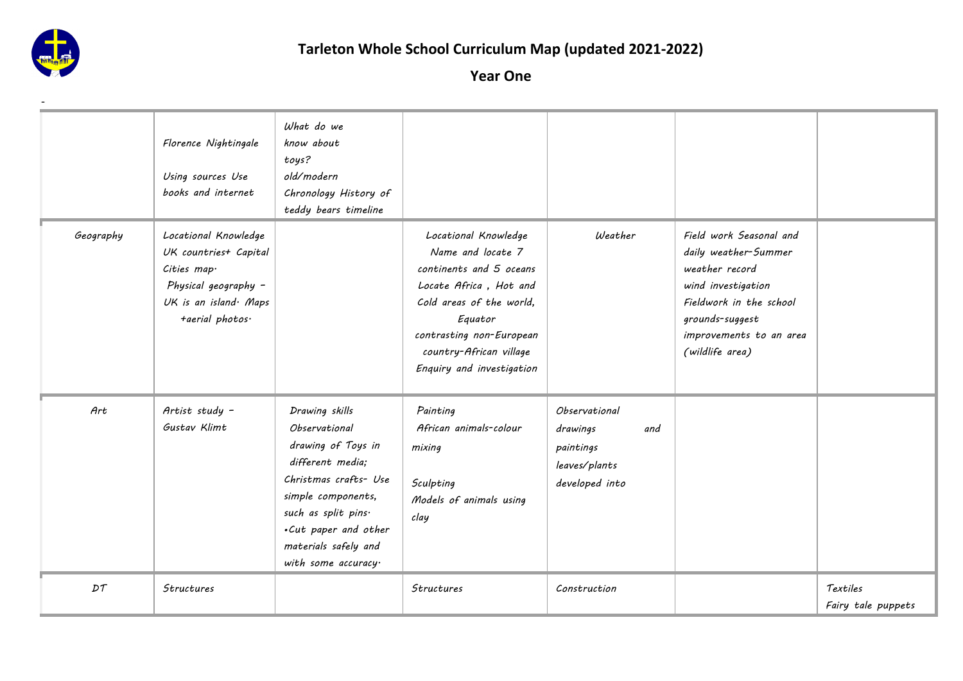

|           | Florence Nightingale<br>Using sources Use<br>books and internet                                                                 | What do we<br>know about<br>toys?<br>old/modern<br>Chronology History of<br>teddy bears timeline                                                                                                                                     |                                                                                                                                                                                                                           |                                                                                                |                                                                                                                                                                                     |                                |
|-----------|---------------------------------------------------------------------------------------------------------------------------------|--------------------------------------------------------------------------------------------------------------------------------------------------------------------------------------------------------------------------------------|---------------------------------------------------------------------------------------------------------------------------------------------------------------------------------------------------------------------------|------------------------------------------------------------------------------------------------|-------------------------------------------------------------------------------------------------------------------------------------------------------------------------------------|--------------------------------|
| Geography | Locational Knowledge<br>UK countries+ Capital<br>Cities map.<br>Physical geography -<br>UK is an island Maps<br>+aerial photos. |                                                                                                                                                                                                                                      | Locational Knowledge<br>Name and locate 7<br>continents and 5 oceans<br>Locate Africa, Hot and<br>Cold areas of the world,<br>Equator<br>contrasting non-European<br>country-African village<br>Enquiry and investigation | Weather                                                                                        | Field work Seasonal and<br>daily weather-Summer<br>weather record<br>wind investigation<br>Fieldwork in the school<br>grounds-suggest<br>improvements to an area<br>(wildlife area) |                                |
| Art       | Artist study -<br>Gustav Klimt                                                                                                  | Drawing skills<br><i><b>Observational</b></i><br>drawing of Toys in<br>different media;<br>Christmas crafts- Use<br>simple components,<br>such as split pins.<br>.Cut paper and other<br>materials safely and<br>with some accuracy. | Painting<br>African animals-colour<br>mixing<br>Sculpting<br>Models of animals using<br>clay                                                                                                                              | <i><b>Observational</b></i><br>drawings<br>and<br>paintings<br>leaves/plants<br>developed into |                                                                                                                                                                                     |                                |
| DT        | <b>Structures</b>                                                                                                               |                                                                                                                                                                                                                                      | <b>Structures</b>                                                                                                                                                                                                         | Construction                                                                                   |                                                                                                                                                                                     | Textiles<br>Fairy tale puppets |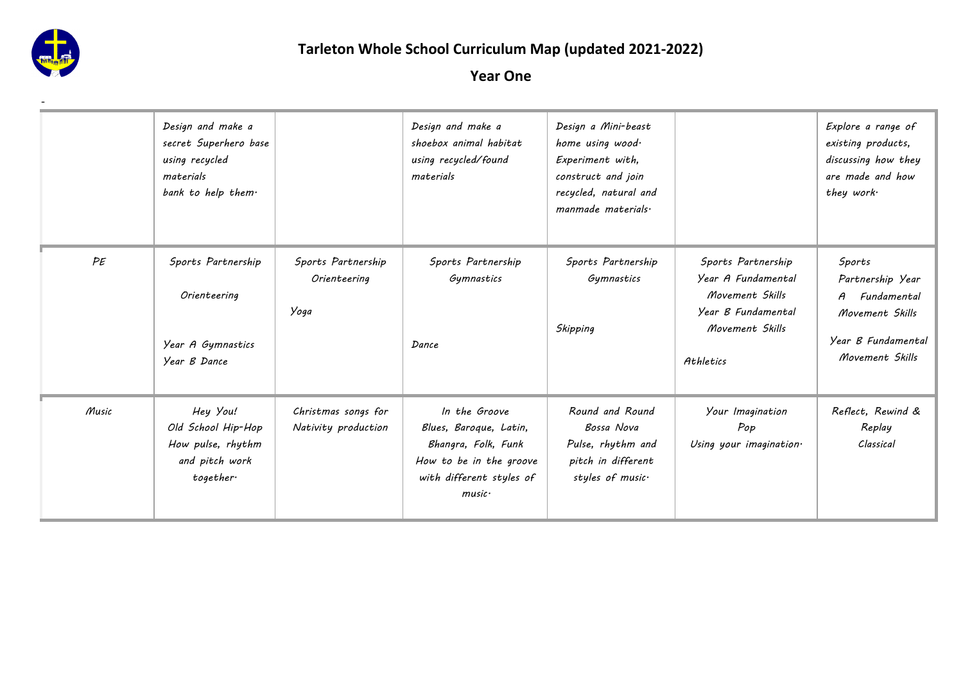

-

## **Tarleton Whole School Curriculum Map (updated 2021-2022)**

|       | Design and make a<br>secret Superhero base<br>using recycled<br>materials<br>bank to help them. |                                            | Design and make a<br>shoebox animal habitat<br>using recycled/found<br>materials                                                          | Design a Mini-beast<br>home using wood.<br>Experiment with,<br>construct and join<br>recycled, natural and<br>manmade materials. |                                                                                                                   | Explore a range of<br>existing products,<br>discussing how they<br>are made and how<br>they work·       |
|-------|-------------------------------------------------------------------------------------------------|--------------------------------------------|-------------------------------------------------------------------------------------------------------------------------------------------|----------------------------------------------------------------------------------------------------------------------------------|-------------------------------------------------------------------------------------------------------------------|---------------------------------------------------------------------------------------------------------|
| PE    | Sports Partnership<br>Orienteering<br>Year A Gymnastics<br>Year B Dance                         | Sports Partnership<br>Orienteering<br>Yoga | Sports Partnership<br>Gymnastics<br>Dance                                                                                                 | Sports Partnership<br>Gymnastics<br>Skipping                                                                                     | Sports Partnership<br>Year A Fundamental<br>Movement Skills<br>Year B Fundamental<br>Movement Skills<br>Athletics | Sports<br>Partnership Year<br>A Fundamental<br>Movement Skills<br>Year B Fundamental<br>Movement Skills |
| Music | Hey You!<br>Old School Hip-Hop<br>How pulse, rhythm<br>and pitch work<br>together.              | Christmas songs for<br>Nativity production | In the Groove<br>Blues, Baroque, Latin,<br>Bhangra, Folk, Funk<br>How to be in the groove<br>with different styles of<br>$m$ usic $\cdot$ | Round and Round<br>Bossa Nova<br>Pulse, rhythm and<br>pitch in different<br>styles of music.                                     | Your Imagination<br>Pop<br>Using your imagination.                                                                | Reflect, Rewind &<br>Replay<br>Classical                                                                |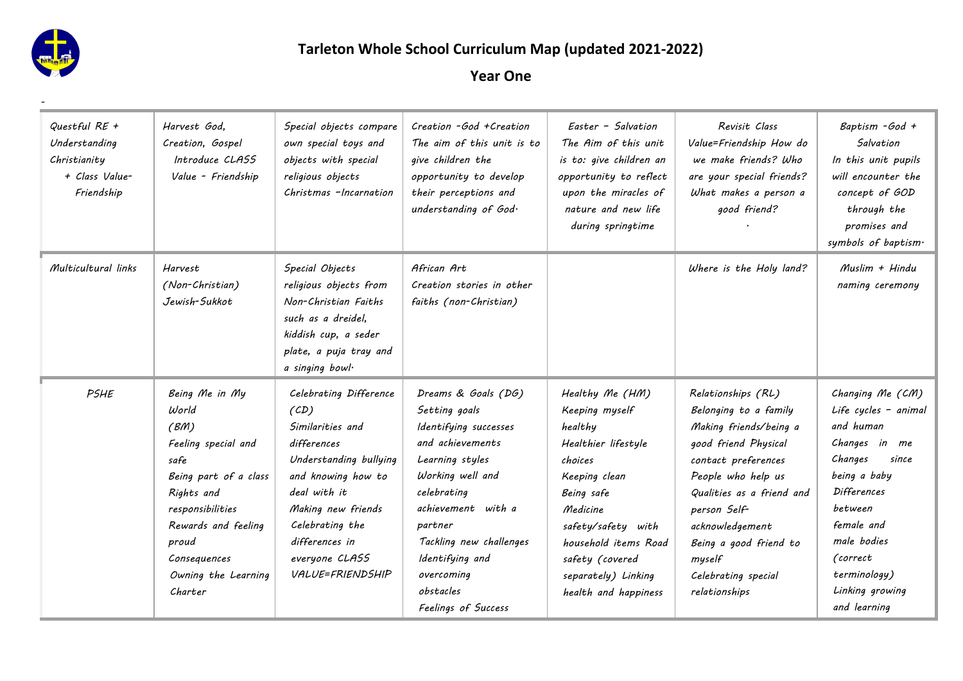

## **Tarleton Whole School Curriculum Map (updated 2021-2022)**

| Questful RE +<br>Understanding<br>Christianity<br>+ Class Value-<br>Friendship | Harvest God,<br>Creation, Gospel<br>Introduce CLASS<br>Value - Friendship                                                                                                                                   | Special objects compare<br>own special toys and<br>objects with special<br>religious objects<br>Christmas -Incarnation                                                                                                             | Creation - God + Creation<br>The aim of this unit is to<br>give children the<br>opportunity to develop<br>their perceptions and<br>understanding of God.                                                                                                                 | Easter - Salvation<br>The Aim of this unit<br>is to: give children an<br>opportunity to reflect<br>upon the miracles of<br>nature and new life<br>during springtime                                                                       | Revisit Class<br>Value=Friendship How do<br>we make friends? Who<br>are your special friends?<br>What makes a person a<br>good friend?                                                                                                                                                 | Baptism - God +<br>Salvation<br>In this unit pupils<br>will encounter the<br>concept of GOD<br>through the<br>promises and<br>symbols of baptism·                                                                                       |
|--------------------------------------------------------------------------------|-------------------------------------------------------------------------------------------------------------------------------------------------------------------------------------------------------------|------------------------------------------------------------------------------------------------------------------------------------------------------------------------------------------------------------------------------------|--------------------------------------------------------------------------------------------------------------------------------------------------------------------------------------------------------------------------------------------------------------------------|-------------------------------------------------------------------------------------------------------------------------------------------------------------------------------------------------------------------------------------------|----------------------------------------------------------------------------------------------------------------------------------------------------------------------------------------------------------------------------------------------------------------------------------------|-----------------------------------------------------------------------------------------------------------------------------------------------------------------------------------------------------------------------------------------|
| Multicultural links                                                            | Harvest<br>(Non-Christian)<br>Jewish-Sukkot                                                                                                                                                                 | Special Objects<br>religious objects from<br>Non-Christian Faiths<br>such as a dreidel.<br>kiddish cup, a seder<br>plate, a puja tray and<br>a singing bowl.                                                                       | African Art<br>Creation stories in other<br>faiths (non-Christian)                                                                                                                                                                                                       |                                                                                                                                                                                                                                           | Where is the Holy land?                                                                                                                                                                                                                                                                | Muslim + Hindu<br>naming ceremony                                                                                                                                                                                                       |
| PSHE                                                                           | Being Me in My<br>World<br>(BM)<br>Feeling special and<br>safe<br>Being part of a class<br>Rights and<br>responsibilities<br>Rewards and feeling<br>proud<br>Consequences<br>Owning the Learning<br>Charter | Celebrating Difference<br>(CD)<br>Similarities and<br>differences<br>Understanding bullying<br>and knowing how to<br>deal with it<br>Making new friends<br>Celebrating the<br>differences in<br>everyone CLASS<br>VALUE=FRIENDSHIP | Dreams & Goals (DG)<br>Setting goals<br>Identifying successes<br>and achievements<br>Learning styles<br>Working well and<br>celebrating<br>achievement with a<br>partner<br>Tackling new challenges<br>Identifying and<br>overcoming<br>obstacles<br>Feelings of Success | Healthy Me (HM)<br>Keeping myself<br>healthy<br>Healthier lifestyle<br>choices<br>Keeping clean<br>Being safe<br>Medicine<br>safety/safety with<br>household items Road<br>safety (covered<br>separately) Linking<br>health and happiness | Relationships (RL)<br>Belonging to a family<br>Making friends/being a<br>good friend Physical<br>contact preferences<br>People who help us<br>Qualities as a friend and<br>person Self-<br>acknowledgement<br>Being a good friend to<br>myself<br>Celebrating special<br>relationships | Changing Me (CM)<br>Life cycles - animal<br>and human<br>Changes in me<br>Changes<br>since<br>being a baby<br><b>Differences</b><br>between<br>female and<br>male bodies<br>(correct<br>terminology)<br>Linking growing<br>and learning |